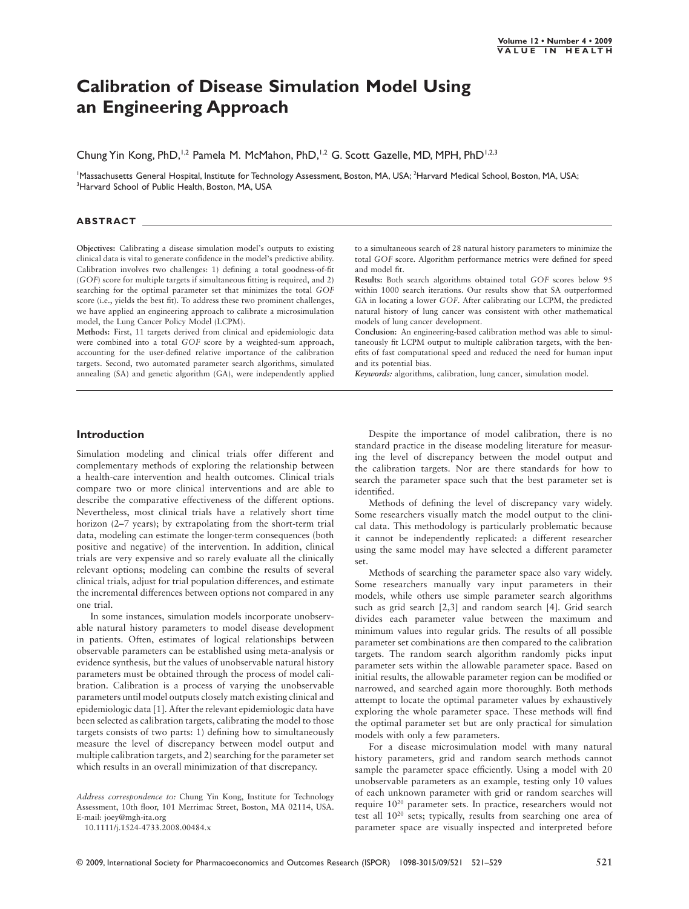# **Calibration of Disease Simulation Model Using an Engineering Approach**

Chung Yin Kong, PhD,<sup>1,2</sup> Pamela M. McMahon, PhD,<sup>1,2</sup> G. Scott Gazelle, MD, MPH, PhD<sup>1,2,3</sup>

'Massachusetts General Hospital, Institute for Technology Assessment, Boston, MA, USA; <sup>2</sup>Harvard Medical School, Boston, MA, USA;  $^3$ Harvard School of Public Health, Boston, MA, USA

## **ABSTRACT**

**Objectives:** Calibrating a disease simulation model's outputs to existing clinical data is vital to generate confidence in the model's predictive ability. Calibration involves two challenges: 1) defining a total goodness-of-fit (*GOF*) score for multiple targets if simultaneous fitting is required, and 2) searching for the optimal parameter set that minimizes the total *GOF* score (i.e., yields the best fit). To address these two prominent challenges, we have applied an engineering approach to calibrate a microsimulation model, the Lung Cancer Policy Model (LCPM).

**Methods:** First, 11 targets derived from clinical and epidemiologic data were combined into a total *GOF* score by a weighted-sum approach, accounting for the user-defined relative importance of the calibration targets. Second, two automated parameter search algorithms, simulated annealing (SA) and genetic algorithm (GA), were independently applied

to a simultaneous search of 28 natural history parameters to minimize the total *GOF* score. Algorithm performance metrics were defined for speed and model fit.

**Results:** Both search algorithms obtained total *GOF* scores below 95 within 1000 search iterations. Our results show that SA outperformed GA in locating a lower *GOF*. After calibrating our LCPM, the predicted natural history of lung cancer was consistent with other mathematical models of lung cancer development.

**Conclusion:** An engineering-based calibration method was able to simultaneously fit LCPM output to multiple calibration targets, with the benefits of fast computational speed and reduced the need for human input and its potential bias.

*Keywords:* algorithms, calibration, lung cancer, simulation model.

#### **Introduction**

Simulation modeling and clinical trials offer different and complementary methods of exploring the relationship between a health-care intervention and health outcomes. Clinical trials compare two or more clinical interventions and are able to describe the comparative effectiveness of the different options. Nevertheless, most clinical trials have a relatively short time horizon (2–7 years); by extrapolating from the short-term trial data, modeling can estimate the longer-term consequences (both positive and negative) of the intervention. In addition, clinical trials are very expensive and so rarely evaluate all the clinically relevant options; modeling can combine the results of several clinical trials, adjust for trial population differences, and estimate the incremental differences between options not compared in any one trial.

In some instances, simulation models incorporate unobservable natural history parameters to model disease development in patients. Often, estimates of logical relationships between observable parameters can be established using meta-analysis or evidence synthesis, but the values of unobservable natural history parameters must be obtained through the process of model calibration. Calibration is a process of varying the unobservable parameters until model outputs closely match existing clinical and epidemiologic data [1]. After the relevant epidemiologic data have been selected as calibration targets, calibrating the model to those targets consists of two parts: 1) defining how to simultaneously measure the level of discrepancy between model output and multiple calibration targets, and 2) searching for the parameter set which results in an overall minimization of that discrepancy.

*Address correspondence to:* Chung Yin Kong, Institute for Technology Assessment, 10th floor, 101 Merrimac Street, Boston, MA 02114, USA. E-mail: joey@mgh-ita.org

10.1111/j.1524-4733.2008.00484.x

Despite the importance of model calibration, there is no standard practice in the disease modeling literature for measuring the level of discrepancy between the model output and the calibration targets. Nor are there standards for how to search the parameter space such that the best parameter set is identified.

Methods of defining the level of discrepancy vary widely. Some researchers visually match the model output to the clinical data. This methodology is particularly problematic because it cannot be independently replicated: a different researcher using the same model may have selected a different parameter set.

Methods of searching the parameter space also vary widely. Some researchers manually vary input parameters in their models, while others use simple parameter search algorithms such as grid search [2,3] and random search [4]. Grid search divides each parameter value between the maximum and minimum values into regular grids. The results of all possible parameter set combinations are then compared to the calibration targets. The random search algorithm randomly picks input parameter sets within the allowable parameter space. Based on initial results, the allowable parameter region can be modified or narrowed, and searched again more thoroughly. Both methods attempt to locate the optimal parameter values by exhaustively exploring the whole parameter space. These methods will find the optimal parameter set but are only practical for simulation models with only a few parameters.

For a disease microsimulation model with many natural history parameters, grid and random search methods cannot sample the parameter space efficiently. Using a model with 20 unobservable parameters as an example, testing only 10 values of each unknown parameter with grid or random searches will require 1020 parameter sets. In practice, researchers would not test all 1020 sets; typically, results from searching one area of parameter space are visually inspected and interpreted before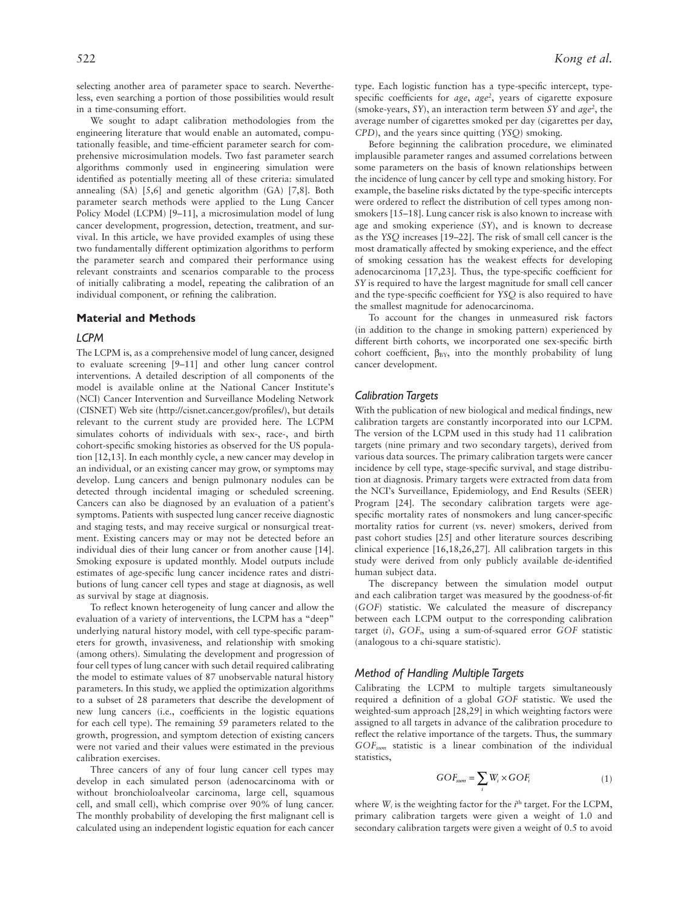selecting another area of parameter space to search. Nevertheless, even searching a portion of those possibilities would result in a time-consuming effort.

We sought to adapt calibration methodologies from the engineering literature that would enable an automated, computationally feasible, and time-efficient parameter search for comprehensive microsimulation models. Two fast parameter search algorithms commonly used in engineering simulation were identified as potentially meeting all of these criteria: simulated annealing (SA) [5,6] and genetic algorithm (GA) [7,8]. Both parameter search methods were applied to the Lung Cancer Policy Model (LCPM) [9–11], a microsimulation model of lung cancer development, progression, detection, treatment, and survival. In this article, we have provided examples of using these two fundamentally different optimization algorithms to perform the parameter search and compared their performance using relevant constraints and scenarios comparable to the process of initially calibrating a model, repeating the calibration of an individual component, or refining the calibration.

#### **Material and Methods**

### *LCPM*

The LCPM is, as a comprehensive model of lung cancer, designed to evaluate screening [9–11] and other lung cancer control interventions. A detailed description of all components of the model is available online at the National Cancer Institute's (NCI) Cancer Intervention and Surveillance Modeling Network (CISNET) Web site (http://cisnet.cancer.gov/profiles/), but details relevant to the current study are provided here. The LCPM simulates cohorts of individuals with sex-, race-, and birth cohort-specific smoking histories as observed for the US population [12,13]. In each monthly cycle, a new cancer may develop in an individual, or an existing cancer may grow, or symptoms may develop. Lung cancers and benign pulmonary nodules can be detected through incidental imaging or scheduled screening. Cancers can also be diagnosed by an evaluation of a patient's symptoms. Patients with suspected lung cancer receive diagnostic and staging tests, and may receive surgical or nonsurgical treatment. Existing cancers may or may not be detected before an individual dies of their lung cancer or from another cause [14]. Smoking exposure is updated monthly. Model outputs include estimates of age-specific lung cancer incidence rates and distributions of lung cancer cell types and stage at diagnosis, as well as survival by stage at diagnosis.

To reflect known heterogeneity of lung cancer and allow the evaluation of a variety of interventions, the LCPM has a "deep" underlying natural history model, with cell type-specific parameters for growth, invasiveness, and relationship with smoking (among others). Simulating the development and progression of four cell types of lung cancer with such detail required calibrating the model to estimate values of 87 unobservable natural history parameters. In this study, we applied the optimization algorithms to a subset of 28 parameters that describe the development of new lung cancers (i.e., coefficients in the logistic equations for each cell type). The remaining 59 parameters related to the growth, progression, and symptom detection of existing cancers were not varied and their values were estimated in the previous calibration exercises.

Three cancers of any of four lung cancer cell types may develop in each simulated person (adenocarcinoma with or without bronchioloalveolar carcinoma, large cell, squamous cell, and small cell), which comprise over 90% of lung cancer. The monthly probability of developing the first malignant cell is calculated using an independent logistic equation for each cancer

type. Each logistic function has a type-specific intercept, typespecific coefficients for *age*, *age*<sup>2</sup>, years of cigarette exposure (smoke-years, *SY*), an interaction term between *SY* and *age2* , the average number of cigarettes smoked per day (cigarettes per day, *CPD*), and the years since quitting (*YSQ*) smoking.

Before beginning the calibration procedure, we eliminated implausible parameter ranges and assumed correlations between some parameters on the basis of known relationships between the incidence of lung cancer by cell type and smoking history. For example, the baseline risks dictated by the type-specific intercepts were ordered to reflect the distribution of cell types among nonsmokers [15–18]. Lung cancer risk is also known to increase with age and smoking experience (*SY*), and is known to decrease as the *YSQ* increases [19–22]. The risk of small cell cancer is the most dramatically affected by smoking experience, and the effect of smoking cessation has the weakest effects for developing adenocarcinoma [17,23]. Thus, the type-specific coefficient for *SY* is required to have the largest magnitude for small cell cancer and the type-specific coefficient for *YSQ* is also required to have the smallest magnitude for adenocarcinoma.

To account for the changes in unmeasured risk factors (in addition to the change in smoking pattern) experienced by different birth cohorts, we incorporated one sex-specific birth cohort coefficient,  $\beta_{BY}$ , into the monthly probability of lung cancer development.

### *Calibration Targets*

With the publication of new biological and medical findings, new calibration targets are constantly incorporated into our LCPM. The version of the LCPM used in this study had 11 calibration targets (nine primary and two secondary targets), derived from various data sources. The primary calibration targets were cancer incidence by cell type, stage-specific survival, and stage distribution at diagnosis. Primary targets were extracted from data from the NCI's Surveillance, Epidemiology, and End Results (SEER) Program [24]. The secondary calibration targets were agespecific mortality rates of nonsmokers and lung cancer-specific mortality ratios for current (vs. never) smokers, derived from past cohort studies [25] and other literature sources describing clinical experience [16,18,26,27]. All calibration targets in this study were derived from only publicly available de-identified human subject data.

The discrepancy between the simulation model output and each calibration target was measured by the goodness-of-fit (*GOF*) statistic. We calculated the measure of discrepancy between each LCPM output to the corresponding calibration target (*i*),  $GOF<sub>i</sub>$ , using a sum-of-squared error *GOF* statistic (analogous to a chi-square statistic).

#### *Method of Handling Multiple Targets*

Calibrating the LCPM to multiple targets simultaneously required a definition of a global *GOF* statistic. We used the weighted-sum approach [28,29] in which weighting factors were assigned to all targets in advance of the calibration procedure to reflect the relative importance of the targets. Thus, the summary *GOFsum* statistic is a linear combination of the individual statistics,

$$
GOF_{sum} = \sum_{i} W_{i} \times GOF_{i}
$$
 (1)

where *W<sub>i</sub>* is the weighting factor for the *i*<sup>th</sup> target. For the LCPM, primary calibration targets were given a weight of 1.0 and secondary calibration targets were given a weight of 0.5 to avoid